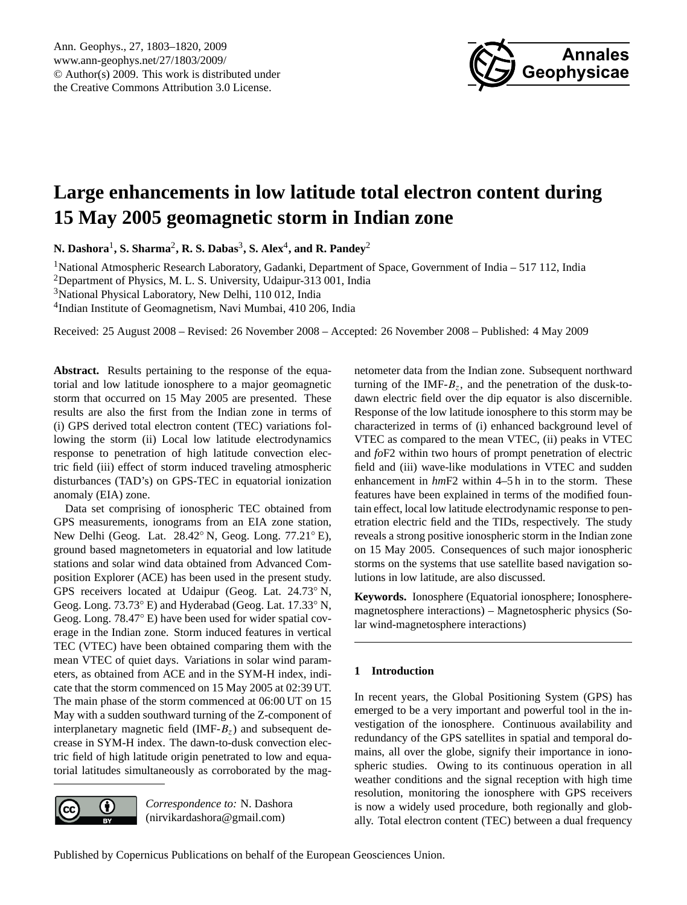

# <span id="page-0-0"></span>**Large enhancements in low latitude total electron content during 15 May 2005 geomagnetic storm in Indian zone**

**N. Dashora**<sup>1</sup> **, S. Sharma**<sup>2</sup> **, R. S. Dabas**<sup>3</sup> **, S. Alex**<sup>4</sup> **, and R. Pandey**<sup>2</sup>

<sup>1</sup>National Atmospheric Research Laboratory, Gadanki, Department of Space, Government of India – 517 112, India <sup>2</sup>Department of Physics, M. L. S. University, Udaipur-313 001, India <sup>3</sup>National Physical Laboratory, New Delhi, 110 012, India 4 Indian Institute of Geomagnetism, Navi Mumbai, 410 206, India

Received: 25 August 2008 – Revised: 26 November 2008 – Accepted: 26 November 2008 – Published: 4 May 2009

**Abstract.** Results pertaining to the response of the equatorial and low latitude ionosphere to a major geomagnetic storm that occurred on 15 May 2005 are presented. These results are also the first from the Indian zone in terms of (i) GPS derived total electron content (TEC) variations following the storm (ii) Local low latitude electrodynamics response to penetration of high latitude convection electric field (iii) effect of storm induced traveling atmospheric disturbances (TAD's) on GPS-TEC in equatorial ionization anomaly (EIA) zone.

Data set comprising of ionospheric TEC obtained from GPS measurements, ionograms from an EIA zone station, New Delhi (Geog. Lat. 28.42◦ N, Geog. Long. 77.21◦ E), ground based magnetometers in equatorial and low latitude stations and solar wind data obtained from Advanced Composition Explorer (ACE) has been used in the present study. GPS receivers located at Udaipur (Geog. Lat. 24.73◦ N, Geog. Long. 73.73◦ E) and Hyderabad (Geog. Lat. 17.33◦ N, Geog. Long. 78.47◦ E) have been used for wider spatial coverage in the Indian zone. Storm induced features in vertical TEC (VTEC) have been obtained comparing them with the mean VTEC of quiet days. Variations in solar wind parameters, as obtained from ACE and in the SYM-H index, indicate that the storm commenced on 15 May 2005 at 02:39 UT. The main phase of the storm commenced at 06:00 UT on 15 May with a sudden southward turning of the Z-component of interplanetary magnetic field  $(IMF-B<sub>z</sub>)$  and subsequent decrease in SYM-H index. The dawn-to-dusk convection electric field of high latitude origin penetrated to low and equatorial latitudes simultaneously as corroborated by the mag-

 $\left( \cdot \right)$ (cc

*Correspondence to:* N. Dashora (nirvikardashora@gmail.com)

netometer data from the Indian zone. Subsequent northward turning of the IMF- $B_z$ , and the penetration of the dusk-todawn electric field over the dip equator is also discernible. Response of the low latitude ionosphere to this storm may be characterized in terms of (i) enhanced background level of VTEC as compared to the mean VTEC, (ii) peaks in VTEC and *fo*F2 within two hours of prompt penetration of electric field and (iii) wave-like modulations in VTEC and sudden enhancement in *hm*F2 within 4–5 h in to the storm. These features have been explained in terms of the modified fountain effect, local low latitude electrodynamic response to penetration electric field and the TIDs, respectively. The study reveals a strong positive ionospheric storm in the Indian zone on 15 May 2005. Consequences of such major ionospheric storms on the systems that use satellite based navigation solutions in low latitude, are also discussed.

**Keywords.** Ionosphere (Equatorial ionosphere; Ionospheremagnetosphere interactions) – Magnetospheric physics (Solar wind-magnetosphere interactions)

# **1 Introduction**

In recent years, the Global Positioning System (GPS) has emerged to be a very important and powerful tool in the investigation of the ionosphere. Continuous availability and redundancy of the GPS satellites in spatial and temporal domains, all over the globe, signify their importance in ionospheric studies. Owing to its continuous operation in all weather conditions and the signal reception with high time resolution, monitoring the ionosphere with GPS receivers is now a widely used procedure, both regionally and globally. Total electron content (TEC) between a dual frequency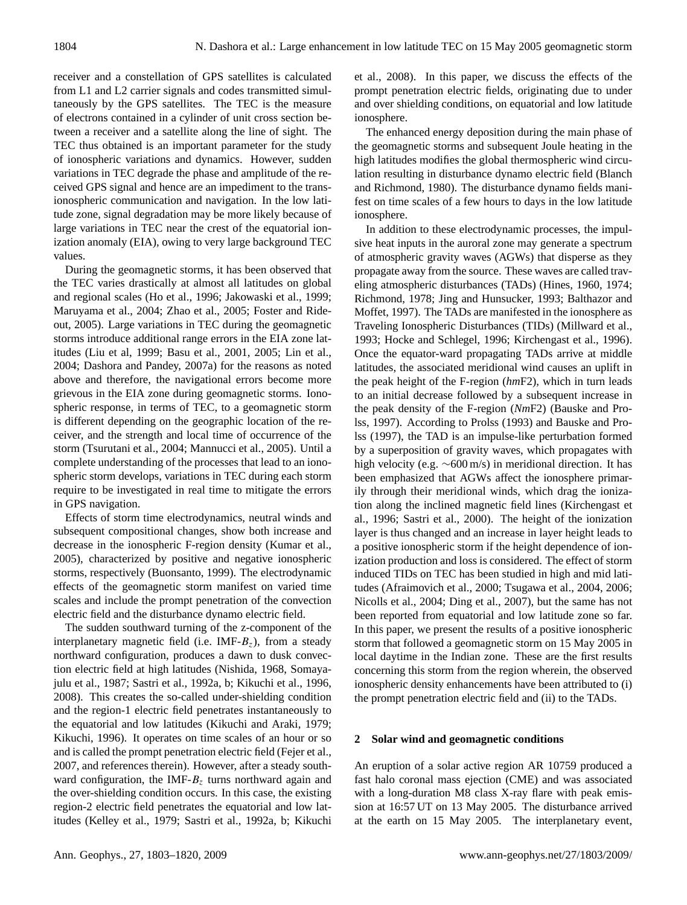receiver and a constellation of GPS satellites is calculated from L1 and L2 carrier signals and codes transmitted simultaneously by the GPS satellites. The TEC is the measure of electrons contained in a cylinder of unit cross section between a receiver and a satellite along the line of sight. The TEC thus obtained is an important parameter for the study of ionospheric variations and dynamics. However, sudden variations in TEC degrade the phase and amplitude of the received GPS signal and hence are an impediment to the transionospheric communication and navigation. In the low latitude zone, signal degradation may be more likely because of large variations in TEC near the crest of the equatorial ionization anomaly (EIA), owing to very large background TEC values.

During the geomagnetic storms, it has been observed that the TEC varies drastically at almost all latitudes on global and regional scales (Ho et al., 1996; Jakowaski et al., 1999; Maruyama et al., 2004; Zhao et al., 2005; Foster and Rideout, 2005). Large variations in TEC during the geomagnetic storms introduce additional range errors in the EIA zone latitudes (Liu et al, 1999; Basu et al., 2001, 2005; Lin et al., 2004; Dashora and Pandey, 2007a) for the reasons as noted above and therefore, the navigational errors become more grievous in the EIA zone during geomagnetic storms. Ionospheric response, in terms of TEC, to a geomagnetic storm is different depending on the geographic location of the receiver, and the strength and local time of occurrence of the storm (Tsurutani et al., 2004; Mannucci et al., 2005). Until a complete understanding of the processes that lead to an ionospheric storm develops, variations in TEC during each storm require to be investigated in real time to mitigate the errors in GPS navigation.

Effects of storm time electrodynamics, neutral winds and subsequent compositional changes, show both increase and decrease in the ionospheric F-region density (Kumar et al., 2005), characterized by positive and negative ionospheric storms, respectively (Buonsanto, 1999). The electrodynamic effects of the geomagnetic storm manifest on varied time scales and include the prompt penetration of the convection electric field and the disturbance dynamo electric field.

The sudden southward turning of the z-component of the interplanetary magnetic field (i.e. IMF- $B_7$ ), from a steady northward configuration, produces a dawn to dusk convection electric field at high latitudes (Nishida, 1968, Somayajulu et al., 1987; Sastri et al., 1992a, b; Kikuchi et al., 1996, 2008). This creates the so-called under-shielding condition and the region-1 electric field penetrates instantaneously to the equatorial and low latitudes (Kikuchi and Araki, 1979; Kikuchi, 1996). It operates on time scales of an hour or so and is called the prompt penetration electric field (Fejer et al., 2007, and references therein). However, after a steady southward configuration, the IMF- $B<sub>z</sub>$  turns northward again and the over-shielding condition occurs. In this case, the existing region-2 electric field penetrates the equatorial and low latitudes (Kelley et al., 1979; Sastri et al., 1992a, b; Kikuchi et al., 2008). In this paper, we discuss the effects of the prompt penetration electric fields, originating due to under and over shielding conditions, on equatorial and low latitude ionosphere.

The enhanced energy deposition during the main phase of the geomagnetic storms and subsequent Joule heating in the high latitudes modifies the global thermospheric wind circulation resulting in disturbance dynamo electric field (Blanch and Richmond, 1980). The disturbance dynamo fields manifest on time scales of a few hours to days in the low latitude ionosphere.

In addition to these electrodynamic processes, the impulsive heat inputs in the auroral zone may generate a spectrum of atmospheric gravity waves (AGWs) that disperse as they propagate away from the source. These waves are called traveling atmospheric disturbances (TADs) (Hines, 1960, 1974; Richmond, 1978; Jing and Hunsucker, 1993; Balthazor and Moffet, 1997). The TADs are manifested in the ionosphere as Traveling Ionospheric Disturbances (TIDs) (Millward et al., 1993; Hocke and Schlegel, 1996; Kirchengast et al., 1996). Once the equator-ward propagating TADs arrive at middle latitudes, the associated meridional wind causes an uplift in the peak height of the F-region (*hm*F2), which in turn leads to an initial decrease followed by a subsequent increase in the peak density of the F-region (*Nm*F2) (Bauske and Prolss, 1997). According to Prolss (1993) and Bauske and Prolss (1997), the TAD is an impulse-like perturbation formed by a superposition of gravity waves, which propagates with high velocity (e.g. ∼600 m/s) in meridional direction. It has been emphasized that AGWs affect the ionosphere primarily through their meridional winds, which drag the ionization along the inclined magnetic field lines (Kirchengast et al., 1996; Sastri et al., 2000). The height of the ionization layer is thus changed and an increase in layer height leads to a positive ionospheric storm if the height dependence of ionization production and loss is considered. The effect of storm induced TIDs on TEC has been studied in high and mid latitudes (Afraimovich et al., 2000; Tsugawa et al., 2004, 2006; Nicolls et al., 2004; Ding et al., 2007), but the same has not been reported from equatorial and low latitude zone so far. In this paper, we present the results of a positive ionospheric storm that followed a geomagnetic storm on 15 May 2005 in local daytime in the Indian zone. These are the first results concerning this storm from the region wherein, the observed ionospheric density enhancements have been attributed to (i) the prompt penetration electric field and (ii) to the TADs.

#### **2 Solar wind and geomagnetic conditions**

An eruption of a solar active region AR 10759 produced a fast halo coronal mass ejection (CME) and was associated with a long-duration M8 class X-ray flare with peak emission at 16:57 UT on 13 May 2005. The disturbance arrived at the earth on 15 May 2005. The interplanetary event,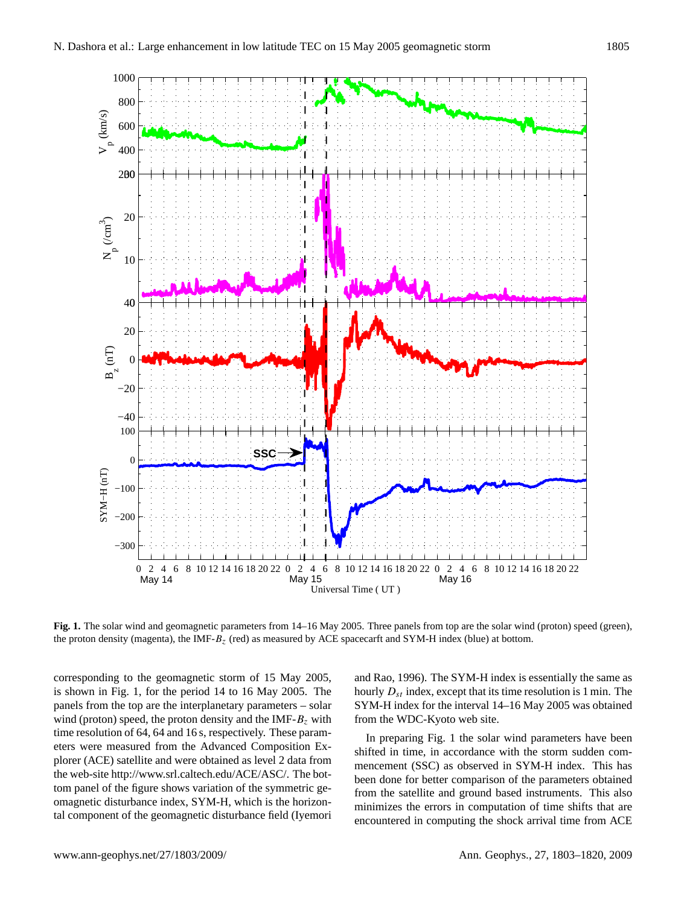

**Fig. 1.** The solar wind and geomagnetic parameters from 14–16 May 2005. Three panels from top are the solar wind (proton) speed (green), the proton density (magenta), the IMF- $B_z$  (red) as measured by ACE spacecarft and SYM-H index (blue) at bottom.

May 14 May 15 May 16

Universal Time ( UT )

corresponding to the geomagnetic storm of 15 May 2005, is shown in Fig. 1, for the period 14 to 16 May 2005. The panels from the top are the interplanetary parameters – solar wind (proton) speed, the proton density and the IMF- $B<sub>z</sub>$  with time resolution of 64, 64 and 16 s, respectively. These parameters were measured from the Advanced Composition Explorer (ACE) satellite and were obtained as level 2 data from the web-site [http://www.srl.caltech.edu/ACE/ASC/.](http://www.srl.caltech.edu/ACE/ASC/) The bottom panel of the figure shows variation of the symmetric geomagnetic disturbance index, SYM-H, which is the horizontal component of the geomagnetic disturbance field (Iyemori and Rao, 1996). The SYM-H index is essentially the same as hourly  $D_{st}$  index, except that its time resolution is 1 min. The SYM-H index for the interval 14–16 May 2005 was obtained from the WDC-Kyoto web site.

In preparing Fig. 1 the solar wind parameters have been shifted in time, in accordance with the storm sudden commencement (SSC) as observed in SYM-H index. This has been done for better comparison of the parameters obtained from the satellite and ground based instruments. This also minimizes the errors in computation of time shifts that are encountered in computing the shock arrival time from ACE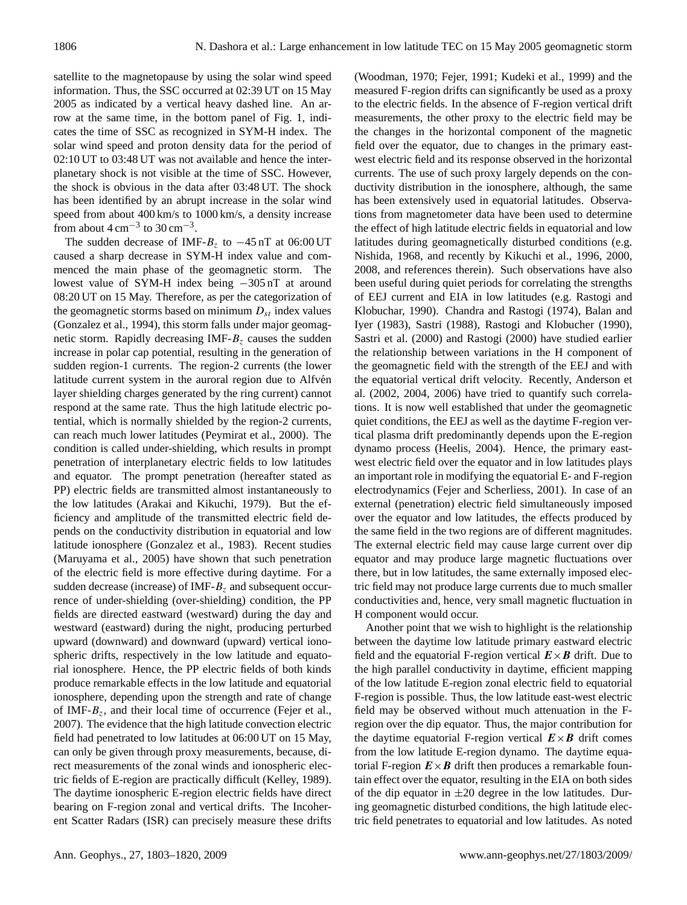satellite to the magnetopause by using the solar wind speed information. Thus, the SSC occurred at 02:39 UT on 15 May 2005 as indicated by a vertical heavy dashed line. An arrow at the same time, in the bottom panel of Fig. 1, indicates the time of SSC as recognized in SYM-H index. The solar wind speed and proton density data for the period of 02:10 UT to 03:48 UT was not available and hence the interplanetary shock is not visible at the time of SSC. However, the shock is obvious in the data after 03:48 UT. The shock has been identified by an abrupt increase in the solar wind speed from about 400 km/s to 1000 km/s, a density increase from about  $4 \text{ cm}^{-3}$  to  $30 \text{ cm}^{-3}$ .

The sudden decrease of IMF- $B_z$  to  $-45$  nT at 06:00 UT caused a sharp decrease in SYM-H index value and commenced the main phase of the geomagnetic storm. The lowest value of SYM-H index being −305 nT at around 08:20 UT on 15 May. Therefore, as per the categorization of the geomagnetic storms based on minimum  $D_{st}$  index values (Gonzalez et al., 1994), this storm falls under major geomagnetic storm. Rapidly decreasing IMF- $B<sub>z</sub>$  causes the sudden increase in polar cap potential, resulting in the generation of sudden region-1 currents. The region-2 currents (the lower latitude current system in the auroral region due to Alfvén layer shielding charges generated by the ring current) cannot respond at the same rate. Thus the high latitude electric potential, which is normally shielded by the region-2 currents, can reach much lower latitudes (Peymirat et al., 2000). The condition is called under-shielding, which results in prompt penetration of interplanetary electric fields to low latitudes and equator. The prompt penetration (hereafter stated as PP) electric fields are transmitted almost instantaneously to the low latitudes (Arakai and Kikuchi, 1979). But the efficiency and amplitude of the transmitted electric field depends on the conductivity distribution in equatorial and low latitude ionosphere (Gonzalez et al., 1983). Recent studies (Maruyama et al., 2005) have shown that such penetration of the electric field is more effective during daytime. For a sudden decrease (increase) of IMF- $B<sub>z</sub>$  and subsequent occurrence of under-shielding (over-shielding) condition, the PP fields are directed eastward (westward) during the day and westward (eastward) during the night, producing perturbed upward (downward) and downward (upward) vertical ionospheric drifts, respectively in the low latitude and equatorial ionosphere. Hence, the PP electric fields of both kinds produce remarkable effects in the low latitude and equatorial ionosphere, depending upon the strength and rate of change of IMF- $B<sub>z</sub>$ , and their local time of occurrence (Fejer et al., 2007). The evidence that the high latitude convection electric field had penetrated to low latitudes at 06:00 UT on 15 May, can only be given through proxy measurements, because, direct measurements of the zonal winds and ionospheric electric fields of E-region are practically difficult (Kelley, 1989). The daytime ionospheric E-region electric fields have direct bearing on F-region zonal and vertical drifts. The Incoherent Scatter Radars (ISR) can precisely measure these drifts (Woodman, 1970; Fejer, 1991; Kudeki et al., 1999) and the measured F-region drifts can significantly be used as a proxy to the electric fields. In the absence of F-region vertical drift measurements, the other proxy to the electric field may be the changes in the horizontal component of the magnetic field over the equator, due to changes in the primary eastwest electric field and its response observed in the horizontal currents. The use of such proxy largely depends on the conductivity distribution in the ionosphere, although, the same has been extensively used in equatorial latitudes. Observations from magnetometer data have been used to determine the effect of high latitude electric fields in equatorial and low latitudes during geomagnetically disturbed conditions (e.g. Nishida, 1968, and recently by Kikuchi et al., 1996, 2000, 2008, and references therein). Such observations have also been useful during quiet periods for correlating the strengths of EEJ current and EIA in low latitudes (e.g. Rastogi and Klobuchar, 1990). Chandra and Rastogi (1974), Balan and Iyer (1983), Sastri (1988), Rastogi and Klobucher (1990), Sastri et al. (2000) and Rastogi (2000) have studied earlier the relationship between variations in the H component of the geomagnetic field with the strength of the EEJ and with the equatorial vertical drift velocity. Recently, Anderson et al. (2002, 2004, 2006) have tried to quantify such correlations. It is now well established that under the geomagnetic quiet conditions, the EEJ as well as the daytime F-region vertical plasma drift predominantly depends upon the E-region dynamo process (Heelis, 2004). Hence, the primary eastwest electric field over the equator and in low latitudes plays an important role in modifying the equatorial E- and F-region electrodynamics (Fejer and Scherliess, 2001). In case of an external (penetration) electric field simultaneously imposed over the equator and low latitudes, the effects produced by the same field in the two regions are of different magnitudes. The external electric field may cause large current over dip equator and may produce large magnetic fluctuations over there, but in low latitudes, the same externally imposed electric field may not produce large currents due to much smaller conductivities and, hence, very small magnetic fluctuation in H component would occur.

Another point that we wish to highlight is the relationship between the daytime low latitude primary eastward electric field and the equatorial F-region vertical  $E \times B$  drift. Due to the high parallel conductivity in daytime, efficient mapping of the low latitude E-region zonal electric field to equatorial F-region is possible. Thus, the low latitude east-west electric field may be observed without much attenuation in the Fregion over the dip equator. Thus, the major contribution for the daytime equatorial F-region vertical  $E \times B$  drift comes from the low latitude E-region dynamo. The daytime equatorial F-region  $E \times B$  drift then produces a remarkable fountain effect over the equator, resulting in the EIA on both sides of the dip equator in  $\pm 20$  degree in the low latitudes. During geomagnetic disturbed conditions, the high latitude electric field penetrates to equatorial and low latitudes. As noted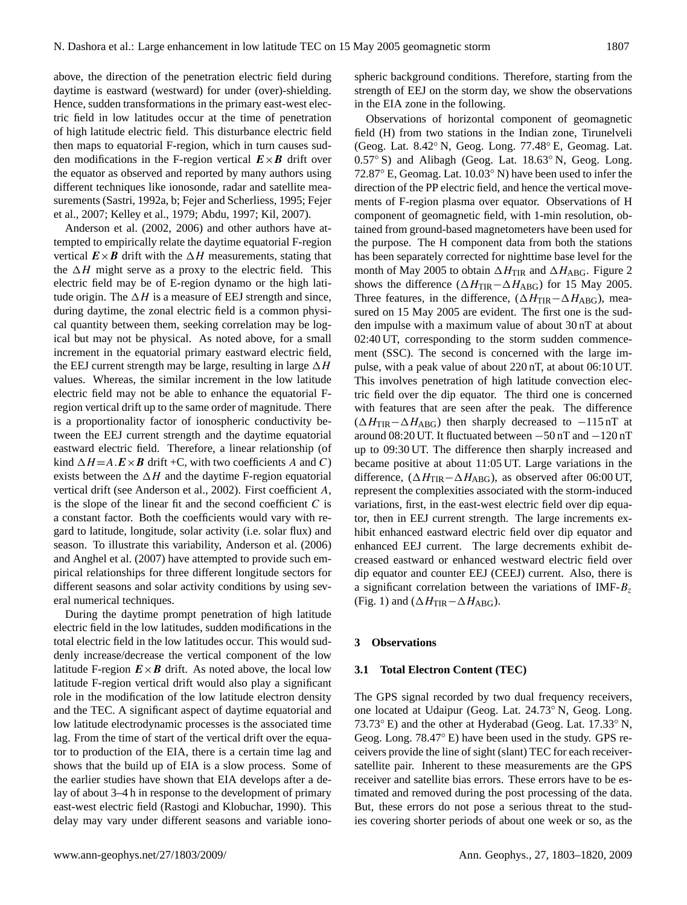above, the direction of the penetration electric field during daytime is eastward (westward) for under (over)-shielding. Hence, sudden transformations in the primary east-west electric field in low latitudes occur at the time of penetration of high latitude electric field. This disturbance electric field then maps to equatorial F-region, which in turn causes sudden modifications in the F-region vertical  $E \times B$  drift over the equator as observed and reported by many authors using different techniques like ionosonde, radar and satellite measurements (Sastri, 1992a, b; Fejer and Scherliess, 1995; Fejer et al., 2007; Kelley et al., 1979; Abdu, 1997; Kil, 2007).

Anderson et al. (2002, 2006) and other authors have attempted to empirically relate the daytime equatorial F-region vertical  $\mathbf{E} \times \mathbf{B}$  drift with the  $\Delta H$  measurements, stating that the  $\Delta H$  might serve as a proxy to the electric field. This electric field may be of E-region dynamo or the high latitude origin. The  $\Delta H$  is a measure of EEJ strength and since, during daytime, the zonal electric field is a common physical quantity between them, seeking correlation may be logical but may not be physical. As noted above, for a small increment in the equatorial primary eastward electric field, the EEJ current strength may be large, resulting in large  $\Delta H$ values. Whereas, the similar increment in the low latitude electric field may not be able to enhance the equatorial Fregion vertical drift up to the same order of magnitude. There is a proportionality factor of ionospheric conductivity between the EEJ current strength and the daytime equatorial eastward electric field. Therefore, a linear relationship (of kind  $\Delta H = A \cdot \mathbf{E} \times \mathbf{B}$  drift +C, with two coefficients A and C) exists between the  $\Delta H$  and the daytime F-region equatorial vertical drift (see Anderson et al., 2002). First coefficient A, is the slope of the linear fit and the second coefficient  $C$  is a constant factor. Both the coefficients would vary with regard to latitude, longitude, solar activity (i.e. solar flux) and season. To illustrate this variability, Anderson et al. (2006) and Anghel et al. (2007) have attempted to provide such empirical relationships for three different longitude sectors for different seasons and solar activity conditions by using several numerical techniques.

During the daytime prompt penetration of high latitude electric field in the low latitudes, sudden modifications in the total electric field in the low latitudes occur. This would suddenly increase/decrease the vertical component of the low latitude F-region  $E \times B$  drift. As noted above, the local low latitude F-region vertical drift would also play a significant role in the modification of the low latitude electron density and the TEC. A significant aspect of daytime equatorial and low latitude electrodynamic processes is the associated time lag. From the time of start of the vertical drift over the equator to production of the EIA, there is a certain time lag and shows that the build up of EIA is a slow process. Some of the earlier studies have shown that EIA develops after a delay of about 3–4 h in response to the development of primary east-west electric field (Rastogi and Klobuchar, 1990). This delay may vary under different seasons and variable ionospheric background conditions. Therefore, starting from the strength of EEJ on the storm day, we show the observations in the EIA zone in the following.

Observations of horizontal component of geomagnetic field (H) from two stations in the Indian zone, Tirunelveli (Geog. Lat. 8.42◦ N, Geog. Long. 77.48◦ E, Geomag. Lat. 0.57◦ S) and Alibagh (Geog. Lat. 18.63◦ N, Geog. Long. 72.87◦ E, Geomag. Lat. 10.03◦ N) have been used to infer the direction of the PP electric field, and hence the vertical movements of F-region plasma over equator. Observations of H component of geomagnetic field, with 1-min resolution, obtained from ground-based magnetometers have been used for the purpose. The H component data from both the stations has been separately corrected for nighttime base level for the month of May 2005 to obtain  $\Delta H_{\text{TIR}}$  and  $\Delta H_{\text{ABG}}$ . Figure 2 shows the difference ( $\Delta H_{\text{TIR}}-\Delta H_{\text{ABG}}$ ) for 15 May 2005. Three features, in the difference,  $(\Delta H_{\text{TIR}}-\Delta H_{\text{ABG}})$ , measured on 15 May 2005 are evident. The first one is the sudden impulse with a maximum value of about 30 nT at about 02:40 UT, corresponding to the storm sudden commencement (SSC). The second is concerned with the large impulse, with a peak value of about 220 nT, at about 06:10 UT. This involves penetration of high latitude convection electric field over the dip equator. The third one is concerned with features that are seen after the peak. The difference  $(\Delta H_{\text{TIR}} - \Delta H_{\text{ABG}})$  then sharply decreased to -115 nT at around 08:20 UT. It fluctuated between −50 nT and −120 nT up to 09:30 UT. The difference then sharply increased and became positive at about 11:05 UT. Large variations in the difference,  $(\Delta H_{\text{TIR}}-\Delta H_{\text{ABG}})$ , as observed after 06:00 UT, represent the complexities associated with the storm-induced variations, first, in the east-west electric field over dip equator, then in EEJ current strength. The large increments exhibit enhanced eastward electric field over dip equator and enhanced EEJ current. The large decrements exhibit decreased eastward or enhanced westward electric field over dip equator and counter EEJ (CEEJ) current. Also, there is a significant correlation between the variations of IMF- $B<sub>z</sub>$ (Fig. 1) and ( $\Delta H_{\text{TIR}}-\Delta H_{\text{ABG}}$ ).

#### **3 Observations**

#### **3.1 Total Electron Content (TEC)**

The GPS signal recorded by two dual frequency receivers, one located at Udaipur (Geog. Lat. 24.73◦ N, Geog. Long. 73.73◦ E) and the other at Hyderabad (Geog. Lat. 17.33◦ N, Geog. Long. 78.47◦ E) have been used in the study. GPS receivers provide the line of sight (slant) TEC for each receiversatellite pair. Inherent to these measurements are the GPS receiver and satellite bias errors. These errors have to be estimated and removed during the post processing of the data. But, these errors do not pose a serious threat to the studies covering shorter periods of about one week or so, as the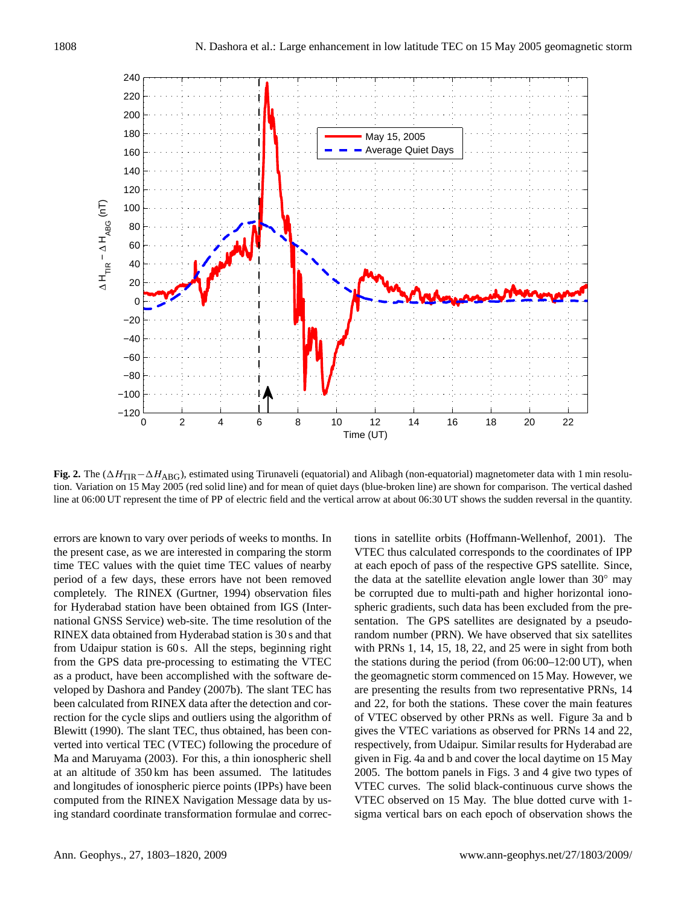

**Fig. 2.** The (ΔH<sub>TIR</sub>−ΔH<sub>ABG</sub>), estimated using Tirunaveli (equatorial) and Alibagh (non-equatorial) magnetometer data with 1 min resolution. Variation on 15 May 2005 (red solid line) and for mean of quiet days (blue-broken line) are shown for comparison. The vertical dashed line at 06:00 UT represent the time of PP of electric field and the vertical arrow at about 06:30 UT shows the sudden reversal in the quantity.

errors are known to vary over periods of weeks to months. In the present case, as we are interested in comparing the storm time TEC values with the quiet time TEC values of nearby period of a few days, these errors have not been removed completely. The RINEX (Gurtner, 1994) observation files for Hyderabad station have been obtained from IGS (International GNSS Service) web-site. The time resolution of the RINEX data obtained from Hyderabad station is 30 s and that from Udaipur station is 60 s. All the steps, beginning right from the GPS data pre-processing to estimating the VTEC as a product, have been accomplished with the software developed by Dashora and Pandey (2007b). The slant TEC has been calculated from RINEX data after the detection and correction for the cycle slips and outliers using the algorithm of Blewitt (1990). The slant TEC, thus obtained, has been converted into vertical TEC (VTEC) following the procedure of Ma and Maruyama (2003). For this, a thin ionospheric shell at an altitude of 350 km has been assumed. The latitudes and longitudes of ionospheric pierce points (IPPs) have been computed from the RINEX Navigation Message data by using standard coordinate transformation formulae and corrections in satellite orbits (Hoffmann-Wellenhof, 2001). The VTEC thus calculated corresponds to the coordinates of IPP at each epoch of pass of the respective GPS satellite. Since, the data at the satellite elevation angle lower than 30◦ may be corrupted due to multi-path and higher horizontal ionospheric gradients, such data has been excluded from the presentation. The GPS satellites are designated by a pseudorandom number (PRN). We have observed that six satellites with PRNs 1, 14, 15, 18, 22, and 25 were in sight from both the stations during the period (from 06:00–12:00 UT), when the geomagnetic storm commenced on 15 May. However, we are presenting the results from two representative PRNs, 14 and 22, for both the stations. These cover the main features of VTEC observed by other PRNs as well. Figure 3a and b gives the VTEC variations as observed for PRNs 14 and 22, respectively, from Udaipur. Similar results for Hyderabad are given in Fig. 4a and b and cover the local daytime on 15 May 2005. The bottom panels in Figs. 3 and 4 give two types of VTEC curves. The solid black-continuous curve shows the VTEC observed on 15 May. The blue dotted curve with 1 sigma vertical bars on each epoch of observation shows the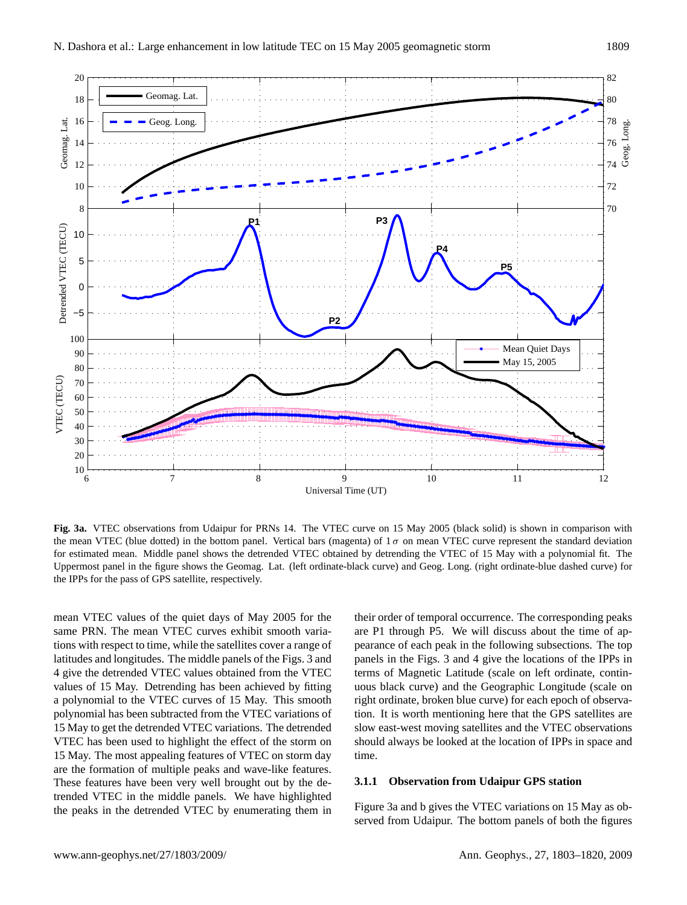

**Fig. 3a.** VTEC observations from Udaipur for PRNs 14. The VTEC curve on 15 May 2005 (black solid) is shown in comparison with the mean VTEC (blue dotted) in the bottom panel. Vertical bars (magenta) of  $1\sigma$  on mean VTEC curve represent the standard deviation for estimated mean. Middle panel shows the detrended VTEC obtained by detrending the VTEC of 15 May with a polynomial fit. The Uppermost panel in the figure shows the Geomag. Lat. (left ordinate-black curve) and Geog. Long. (right ordinate-blue dashed curve) for the IPPs for the pass of GPS satellite, respectively.

mean VTEC values of the quiet days of May 2005 for the same PRN. The mean VTEC curves exhibit smooth variations with respect to time, while the satellites cover a range of latitudes and longitudes. The middle panels of the Figs. 3 and 4 give the detrended VTEC values obtained from the VTEC values of 15 May. Detrending has been achieved by fitting a polynomial to the VTEC curves of 15 May. This smooth polynomial has been subtracted from the VTEC variations of 15 May to get the detrended VTEC variations. The detrended VTEC has been used to highlight the effect of the storm on 15 May. The most appealing features of VTEC on storm day are the formation of multiple peaks and wave-like features. These features have been very well brought out by the detrended VTEC in the middle panels. We have highlighted the peaks in the detrended VTEC by enumerating them in

their order of temporal occurrence. The corresponding peaks are P1 through P5. We will discuss about the time of appearance of each peak in the following subsections. The top panels in the Figs. 3 and 4 give the locations of the IPPs in terms of Magnetic Latitude (scale on left ordinate, continuous black curve) and the Geographic Longitude (scale on right ordinate, broken blue curve) for each epoch of observation. It is worth mentioning here that the GPS satellites are slow east-west moving satellites and the VTEC observations should always be looked at the location of IPPs in space and time.

### **3.1.1 Observation from Udaipur GPS station**

Figure 3a and b gives the VTEC variations on 15 May as observed from Udaipur. The bottom panels of both the figures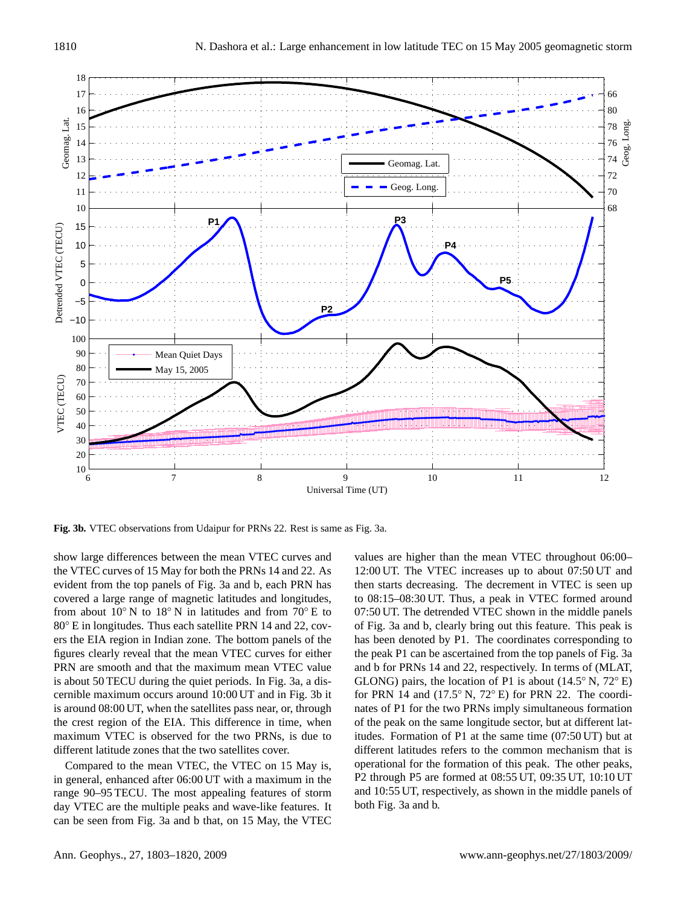

**Fig. 3b.** VTEC observations from Udaipur for PRNs 22. Rest is same as Fig. 3a.

show large differences between the mean VTEC curves and the VTEC curves of 15 May for both the PRNs 14 and 22. As evident from the top panels of Fig. 3a and b, each PRN has covered a large range of magnetic latitudes and longitudes, from about 10 $\degree$  N to 18 $\degree$  N in latitudes and from 70 $\degree$  E to 80◦ E in longitudes. Thus each satellite PRN 14 and 22, covers the EIA region in Indian zone. The bottom panels of the figures clearly reveal that the mean VTEC curves for either PRN are smooth and that the maximum mean VTEC value is about 50 TECU during the quiet periods. In Fig. 3a, a discernible maximum occurs around 10:00 UT and in Fig. 3b it is around 08:00 UT, when the satellites pass near, or, through the crest region of the EIA. This difference in time, when maximum VTEC is observed for the two PRNs, is due to different latitude zones that the two satellites cover.

Compared to the mean VTEC, the VTEC on 15 May is, in general, enhanced after 06:00 UT with a maximum in the range 90–95 TECU. The most appealing features of storm day VTEC are the multiple peaks and wave-like features. It can be seen from Fig. 3a and b that, on 15 May, the VTEC

values are higher than the mean VTEC throughout 06:00– 12:00 UT. The VTEC increases up to about 07:50 UT and then starts decreasing. The decrement in VTEC is seen up to 08:15–08:30 UT. Thus, a peak in VTEC formed around 07:50 UT. The detrended VTEC shown in the middle panels of Fig. 3a and b, clearly bring out this feature. This peak is has been denoted by P1. The coordinates corresponding to the peak P1 can be ascertained from the top panels of Fig. 3a and b for PRNs 14 and 22, respectively. In terms of (MLAT, GLONG) pairs, the location of P1 is about  $(14.5°\text{ N}, 72°\text{ E})$ for PRN 14 and  $(17.5° N, 72° E)$  for PRN 22. The coordinates of P1 for the two PRNs imply simultaneous formation of the peak on the same longitude sector, but at different latitudes. Formation of P1 at the same time (07:50 UT) but at different latitudes refers to the common mechanism that is operational for the formation of this peak. The other peaks, P2 through P5 are formed at 08:55 UT, 09:35 UT, 10:10 UT and 10:55 UT, respectively, as shown in the middle panels of both Fig. 3a and b.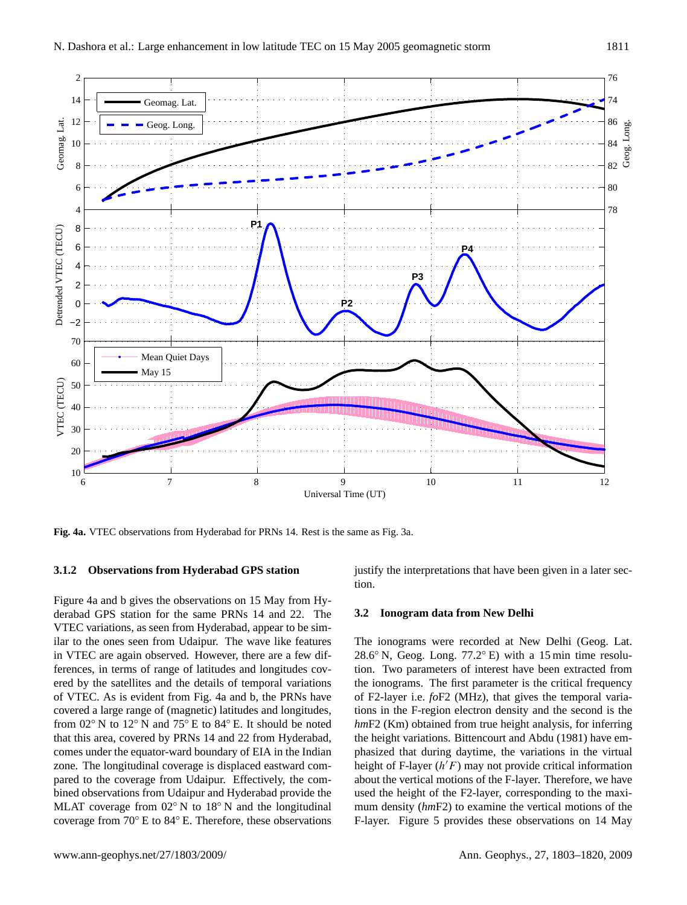

**Fig. 4a.** VTEC observations from Hyderabad for PRNs 14. Rest is the same as Fig. 3a.

#### **3.1.2 Observations from Hyderabad GPS station**

Figure 4a and b gives the observations on 15 May from Hyderabad GPS station for the same PRNs 14 and 22. The VTEC variations, as seen from Hyderabad, appear to be similar to the ones seen from Udaipur. The wave like features in VTEC are again observed. However, there are a few differences, in terms of range of latitudes and longitudes covered by the satellites and the details of temporal variations of VTEC. As is evident from Fig. 4a and b, the PRNs have covered a large range of (magnetic) latitudes and longitudes, from 02◦ N to 12◦ N and 75◦ E to 84◦ E. It should be noted that this area, covered by PRNs 14 and 22 from Hyderabad, comes under the equator-ward boundary of EIA in the Indian zone. The longitudinal coverage is displaced eastward compared to the coverage from Udaipur. Effectively, the combined observations from Udaipur and Hyderabad provide the MLAT coverage from 02◦ N to 18◦ N and the longitudinal coverage from 70◦ E to 84◦ E. Therefore, these observations justify the interpretations that have been given in a later section.

#### **3.2 Ionogram data from New Delhi**

The ionograms were recorded at New Delhi (Geog. Lat. 28.6◦ N, Geog. Long. 77.2◦ E) with a 15 min time resolution. Two parameters of interest have been extracted from the ionograms. The first parameter is the critical frequency of F2-layer i.e. *fo*F2 (MHz), that gives the temporal variations in the F-region electron density and the second is the *hm*F2 (Km) obtained from true height analysis, for inferring the height variations. Bittencourt and Abdu (1981) have emphasized that during daytime, the variations in the virtual height of F-layer  $(h'F)$  may not provide critical information about the vertical motions of the F-layer. Therefore, we have used the height of the F2-layer, corresponding to the maximum density (*hm*F2) to examine the vertical motions of the F-layer. Figure 5 provides these observations on 14 May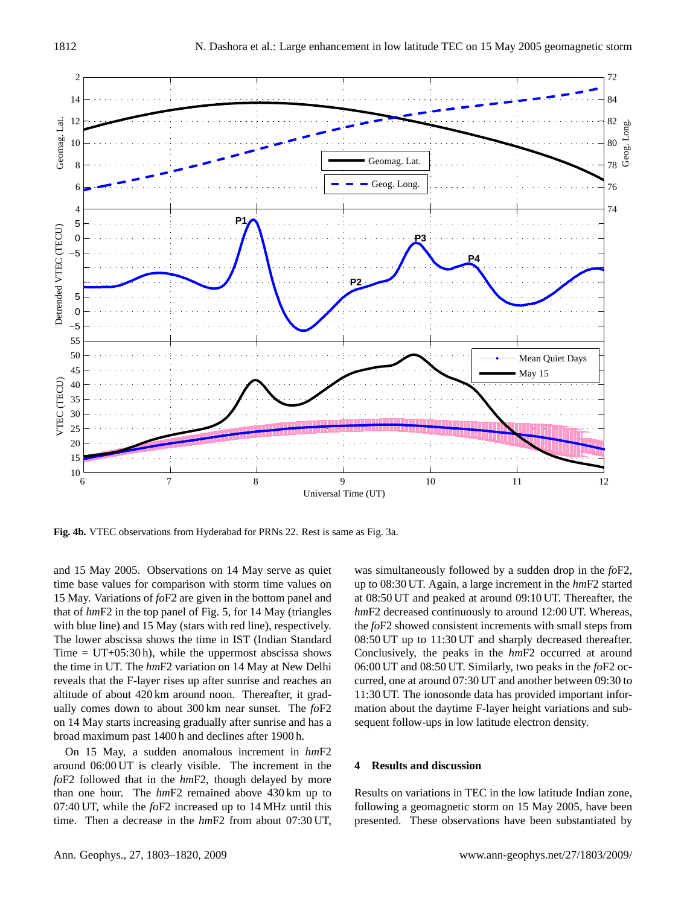

**Fig. 4b.** VTEC observations from Hyderabad for PRNs 22. Rest is same as Fig. 3a.

and 15 May 2005. Observations on 14 May serve as quiet time base values for comparison with storm time values on 15 May. Variations of *fo*F2 are given in the bottom panel and that of *hm*F2 in the top panel of Fig. 5, for 14 May (triangles with blue line) and 15 May (stars with red line), respectively. The lower abscissa shows the time in IST (Indian Standard Time =  $UT+05:30 h$ , while the uppermost abscissa shows the time in UT. The *hm*F2 variation on 14 May at New Delhi reveals that the F-layer rises up after sunrise and reaches an altitude of about 420 km around noon. Thereafter, it gradually comes down to about 300 km near sunset. The *fo*F2 on 14 May starts increasing gradually after sunrise and has a broad maximum past 1400 h and declines after 1900 h.

On 15 May, a sudden anomalous increment in *hm*F2 around 06:00 UT is clearly visible. The increment in the *fo*F2 followed that in the *hm*F2, though delayed by more than one hour. The *hm*F2 remained above 430 km up to 07:40 UT, while the *fo*F2 increased up to 14 MHz until this time. Then a decrease in the *hm*F2 from about 07:30 UT, was simultaneously followed by a sudden drop in the *fo*F2, up to 08:30 UT. Again, a large increment in the *hm*F2 started at 08:50 UT and peaked at around 09:10 UT. Thereafter, the *hm*F2 decreased continuously to around 12:00 UT. Whereas, the *fo*F2 showed consistent increments with small steps from 08:50 UT up to 11:30 UT and sharply decreased thereafter. Conclusively, the peaks in the *hm*F2 occurred at around 06:00 UT and 08:50 UT. Similarly, two peaks in the *fo*F2 occurred, one at around 07:30 UT and another between 09:30 to 11:30 UT. The ionosonde data has provided important information about the daytime F-layer height variations and subsequent follow-ups in low latitude electron density.

#### **4 Results and discussion**

Results on variations in TEC in the low latitude Indian zone, following a geomagnetic storm on 15 May 2005, have been presented. These observations have been substantiated by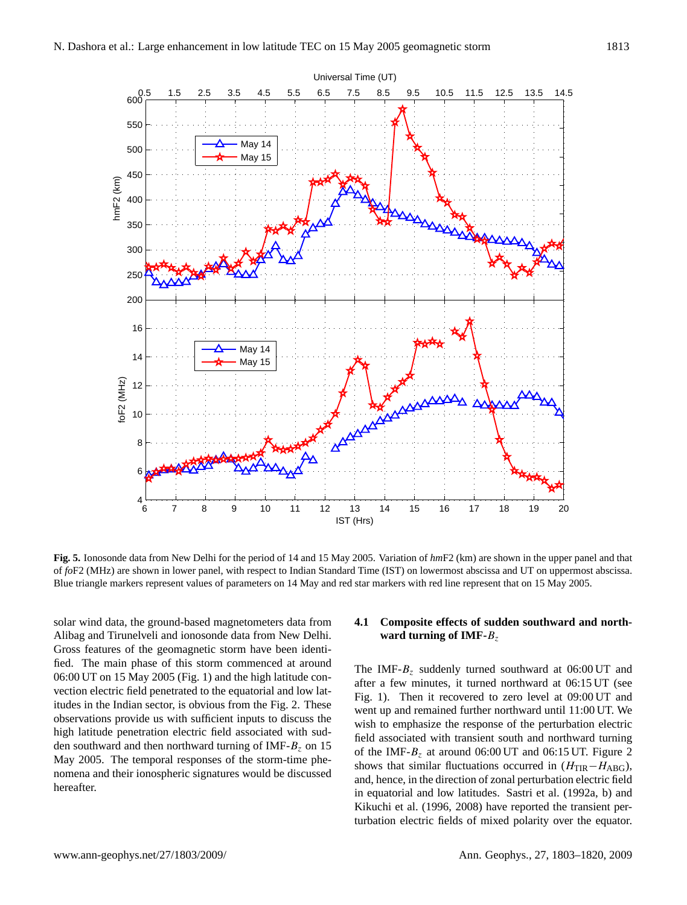

**Fig. 5.** Ionosonde data from New Delhi for the period of 14 and 15 May 2005. Variation of *hm*F2 (km) are shown in the upper panel and that of *fo*F2 (MHz) are shown in lower panel, with respect to Indian Standard Time (IST) on lowermost abscissa and UT on uppermost abscissa. Blue triangle markers represent values of parameters on 14 May and red star markers with red line represent that on 15 May 2005.

solar wind data, the ground-based magnetometers data from Alibag and Tirunelveli and ionosonde data from New Delhi. Gross features of the geomagnetic storm have been identified. The main phase of this storm commenced at around 06:00 UT on 15 May 2005 (Fig. 1) and the high latitude convection electric field penetrated to the equatorial and low latitudes in the Indian sector, is obvious from the Fig. 2. These observations provide us with sufficient inputs to discuss the high latitude penetration electric field associated with sudden southward and then northward turning of IMF- $B<sub>z</sub>$  on 15 May 2005. The temporal responses of the storm-time phenomena and their ionospheric signatures would be discussed hereafter.

## **4.1 Composite effects of sudden southward and northward turning of IMF-**B<sup>z</sup>

The IMF- $B<sub>z</sub>$  suddenly turned southward at 06:00 UT and after a few minutes, it turned northward at 06:15 UT (see Fig. 1). Then it recovered to zero level at 09:00 UT and went up and remained further northward until 11:00 UT. We wish to emphasize the response of the perturbation electric field associated with transient south and northward turning of the IMF- $B_z$  at around 06:00 UT and 06:15 UT. Figure 2 shows that similar fluctuations occurred in  $(H_{\text{TIR}}-H_{\text{ABG}})$ , and, hence, in the direction of zonal perturbation electric field in equatorial and low latitudes. Sastri et al. (1992a, b) and Kikuchi et al. (1996, 2008) have reported the transient perturbation electric fields of mixed polarity over the equator.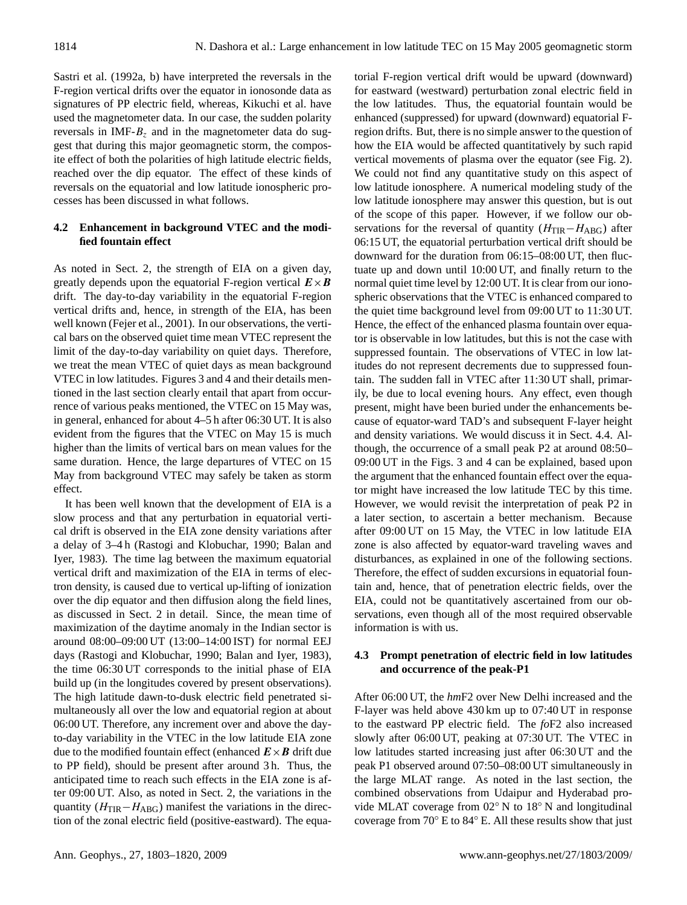Sastri et al. (1992a, b) have interpreted the reversals in the F-region vertical drifts over the equator in ionosonde data as signatures of PP electric field, whereas, Kikuchi et al. have used the magnetometer data. In our case, the sudden polarity reversals in IMF- $B<sub>z</sub>$  and in the magnetometer data do suggest that during this major geomagnetic storm, the composite effect of both the polarities of high latitude electric fields, reached over the dip equator. The effect of these kinds of reversals on the equatorial and low latitude ionospheric processes has been discussed in what follows.

# **4.2 Enhancement in background VTEC and the modified fountain effect**

As noted in Sect. 2, the strength of EIA on a given day, greatly depends upon the equatorial F-region vertical  $E \times B$ drift. The day-to-day variability in the equatorial F-region vertical drifts and, hence, in strength of the EIA, has been well known (Fejer et al., 2001). In our observations, the vertical bars on the observed quiet time mean VTEC represent the limit of the day-to-day variability on quiet days. Therefore, we treat the mean VTEC of quiet days as mean background VTEC in low latitudes. Figures 3 and 4 and their details mentioned in the last section clearly entail that apart from occurrence of various peaks mentioned, the VTEC on 15 May was, in general, enhanced for about 4–5 h after 06:30 UT. It is also evident from the figures that the VTEC on May 15 is much higher than the limits of vertical bars on mean values for the same duration. Hence, the large departures of VTEC on 15 May from background VTEC may safely be taken as storm effect.

It has been well known that the development of EIA is a slow process and that any perturbation in equatorial vertical drift is observed in the EIA zone density variations after a delay of 3–4 h (Rastogi and Klobuchar, 1990; Balan and Iyer, 1983). The time lag between the maximum equatorial vertical drift and maximization of the EIA in terms of electron density, is caused due to vertical up-lifting of ionization over the dip equator and then diffusion along the field lines, as discussed in Sect. 2 in detail. Since, the mean time of maximization of the daytime anomaly in the Indian sector is around 08:00–09:00 UT (13:00–14:00 IST) for normal EEJ days (Rastogi and Klobuchar, 1990; Balan and Iyer, 1983), the time 06:30 UT corresponds to the initial phase of EIA build up (in the longitudes covered by present observations). The high latitude dawn-to-dusk electric field penetrated simultaneously all over the low and equatorial region at about 06:00 UT. Therefore, any increment over and above the dayto-day variability in the VTEC in the low latitude EIA zone due to the modified fountain effect (enhanced  $E \times B$  drift due to PP field), should be present after around 3 h. Thus, the anticipated time to reach such effects in the EIA zone is after 09:00 UT. Also, as noted in Sect. 2, the variations in the quantity ( $H_{\text{TIR}}-H_{\text{ABG}}$ ) manifest the variations in the direction of the zonal electric field (positive-eastward). The equatorial F-region vertical drift would be upward (downward) for eastward (westward) perturbation zonal electric field in the low latitudes. Thus, the equatorial fountain would be enhanced (suppressed) for upward (downward) equatorial Fregion drifts. But, there is no simple answer to the question of how the EIA would be affected quantitatively by such rapid vertical movements of plasma over the equator (see Fig. 2). We could not find any quantitative study on this aspect of low latitude ionosphere. A numerical modeling study of the low latitude ionosphere may answer this question, but is out of the scope of this paper. However, if we follow our observations for the reversal of quantity  $(H_{\text{TIR}}-H_{\text{ABG}})$  after 06:15 UT, the equatorial perturbation vertical drift should be downward for the duration from 06:15–08:00 UT, then fluctuate up and down until 10:00 UT, and finally return to the normal quiet time level by 12:00 UT. It is clear from our ionospheric observations that the VTEC is enhanced compared to the quiet time background level from 09:00 UT to 11:30 UT. Hence, the effect of the enhanced plasma fountain over equator is observable in low latitudes, but this is not the case with suppressed fountain. The observations of VTEC in low latitudes do not represent decrements due to suppressed fountain. The sudden fall in VTEC after 11:30 UT shall, primarily, be due to local evening hours. Any effect, even though present, might have been buried under the enhancements because of equator-ward TAD's and subsequent F-layer height and density variations. We would discuss it in Sect. 4.4. Although, the occurrence of a small peak P2 at around 08:50– 09:00 UT in the Figs. 3 and 4 can be explained, based upon the argument that the enhanced fountain effect over the equator might have increased the low latitude TEC by this time. However, we would revisit the interpretation of peak P2 in a later section, to ascertain a better mechanism. Because after 09:00 UT on 15 May, the VTEC in low latitude EIA zone is also affected by equator-ward traveling waves and disturbances, as explained in one of the following sections. Therefore, the effect of sudden excursions in equatorial fountain and, hence, that of penetration electric fields, over the EIA, could not be quantitatively ascertained from our observations, even though all of the most required observable information is with us.

# **4.3 Prompt penetration of electric field in low latitudes and occurrence of the peak-P1**

After 06:00 UT, the *hm*F2 over New Delhi increased and the F-layer was held above 430 km up to 07:40 UT in response to the eastward PP electric field. The *fo*F2 also increased slowly after 06:00 UT, peaking at 07:30 UT. The VTEC in low latitudes started increasing just after 06:30 UT and the peak P1 observed around 07:50–08:00 UT simultaneously in the large MLAT range. As noted in the last section, the combined observations from Udaipur and Hyderabad provide MLAT coverage from 02◦ N to 18◦ N and longitudinal coverage from 70◦ E to 84◦ E. All these results show that just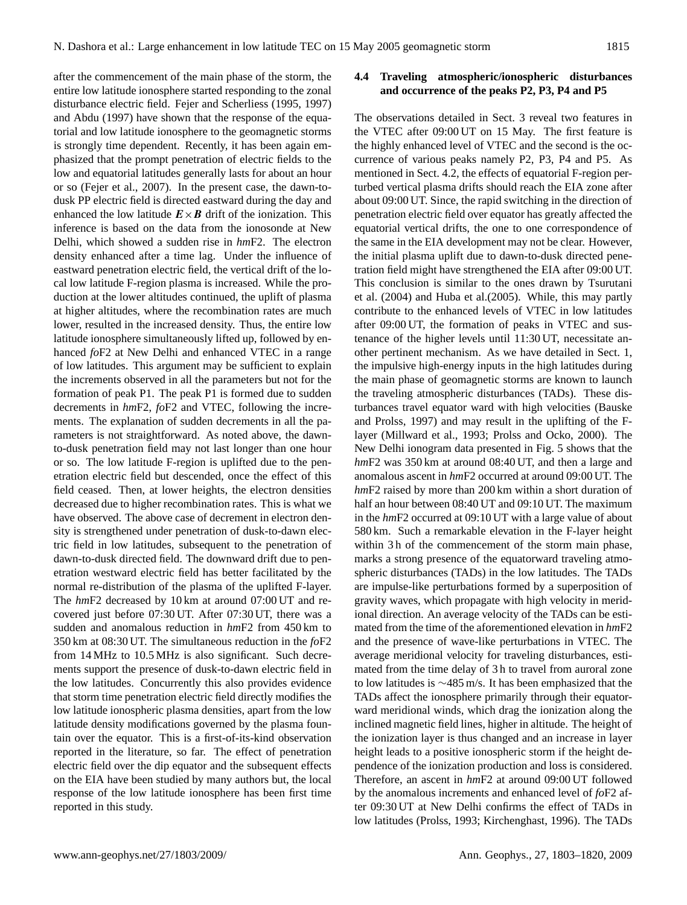after the commencement of the main phase of the storm, the entire low latitude ionosphere started responding to the zonal disturbance electric field. Fejer and Scherliess (1995, 1997) and Abdu (1997) have shown that the response of the equatorial and low latitude ionosphere to the geomagnetic storms is strongly time dependent. Recently, it has been again emphasized that the prompt penetration of electric fields to the low and equatorial latitudes generally lasts for about an hour or so (Fejer et al., 2007). In the present case, the dawn-todusk PP electric field is directed eastward during the day and enhanced the low latitude  $E \times B$  drift of the ionization. This inference is based on the data from the ionosonde at New Delhi, which showed a sudden rise in *hm*F2. The electron density enhanced after a time lag. Under the influence of eastward penetration electric field, the vertical drift of the local low latitude F-region plasma is increased. While the production at the lower altitudes continued, the uplift of plasma at higher altitudes, where the recombination rates are much lower, resulted in the increased density. Thus, the entire low latitude ionosphere simultaneously lifted up, followed by enhanced *fo*F2 at New Delhi and enhanced VTEC in a range of low latitudes. This argument may be sufficient to explain the increments observed in all the parameters but not for the formation of peak P1. The peak P1 is formed due to sudden decrements in *hm*F2, *fo*F2 and VTEC, following the increments. The explanation of sudden decrements in all the parameters is not straightforward. As noted above, the dawnto-dusk penetration field may not last longer than one hour or so. The low latitude F-region is uplifted due to the penetration electric field but descended, once the effect of this field ceased. Then, at lower heights, the electron densities decreased due to higher recombination rates. This is what we have observed. The above case of decrement in electron density is strengthened under penetration of dusk-to-dawn electric field in low latitudes, subsequent to the penetration of dawn-to-dusk directed field. The downward drift due to penetration westward electric field has better facilitated by the normal re-distribution of the plasma of the uplifted F-layer. The *hm*F2 decreased by 10 km at around 07:00 UT and recovered just before 07:30 UT. After 07:30 UT, there was a sudden and anomalous reduction in *hm*F2 from 450 km to 350 km at 08:30 UT. The simultaneous reduction in the *fo*F2 from 14 MHz to 10.5 MHz is also significant. Such decrements support the presence of dusk-to-dawn electric field in the low latitudes. Concurrently this also provides evidence that storm time penetration electric field directly modifies the low latitude ionospheric plasma densities, apart from the low latitude density modifications governed by the plasma fountain over the equator. This is a first-of-its-kind observation reported in the literature, so far. The effect of penetration electric field over the dip equator and the subsequent effects on the EIA have been studied by many authors but, the local response of the low latitude ionosphere has been first time reported in this study.

## **4.4 Traveling atmospheric/ionospheric disturbances and occurrence of the peaks P2, P3, P4 and P5**

The observations detailed in Sect. 3 reveal two features in the VTEC after 09:00 UT on 15 May. The first feature is the highly enhanced level of VTEC and the second is the occurrence of various peaks namely P2, P3, P4 and P5. As mentioned in Sect. 4.2, the effects of equatorial F-region perturbed vertical plasma drifts should reach the EIA zone after about 09:00 UT. Since, the rapid switching in the direction of penetration electric field over equator has greatly affected the equatorial vertical drifts, the one to one correspondence of the same in the EIA development may not be clear. However, the initial plasma uplift due to dawn-to-dusk directed penetration field might have strengthened the EIA after 09:00 UT. This conclusion is similar to the ones drawn by Tsurutani et al. (2004) and Huba et al.(2005). While, this may partly contribute to the enhanced levels of VTEC in low latitudes after 09:00 UT, the formation of peaks in VTEC and sustenance of the higher levels until 11:30 UT, necessitate another pertinent mechanism. As we have detailed in Sect. 1, the impulsive high-energy inputs in the high latitudes during the main phase of geomagnetic storms are known to launch the traveling atmospheric disturbances (TADs). These disturbances travel equator ward with high velocities (Bauske and Prolss, 1997) and may result in the uplifting of the Flayer (Millward et al., 1993; Prolss and Ocko, 2000). The New Delhi ionogram data presented in Fig. 5 shows that the *hm*F2 was 350 km at around 08:40 UT, and then a large and anomalous ascent in *hm*F2 occurred at around 09:00 UT. The *hm*F2 raised by more than 200 km within a short duration of half an hour between 08:40 UT and 09:10 UT. The maximum in the *hm*F2 occurred at 09:10 UT with a large value of about 580 km. Such a remarkable elevation in the F-layer height within 3h of the commencement of the storm main phase, marks a strong presence of the equatorward traveling atmospheric disturbances (TADs) in the low latitudes. The TADs are impulse-like perturbations formed by a superposition of gravity waves, which propagate with high velocity in meridional direction. An average velocity of the TADs can be estimated from the time of the aforementioned elevation in *hm*F2 and the presence of wave-like perturbations in VTEC. The average meridional velocity for traveling disturbances, estimated from the time delay of 3 h to travel from auroral zone to low latitudes is ∼485 m/s. It has been emphasized that the TADs affect the ionosphere primarily through their equatorward meridional winds, which drag the ionization along the inclined magnetic field lines, higher in altitude. The height of the ionization layer is thus changed and an increase in layer height leads to a positive ionospheric storm if the height dependence of the ionization production and loss is considered. Therefore, an ascent in *hm*F2 at around 09:00 UT followed by the anomalous increments and enhanced level of *fo*F2 after 09:30 UT at New Delhi confirms the effect of TADs in low latitudes (Prolss, 1993; Kirchenghast, 1996). The TADs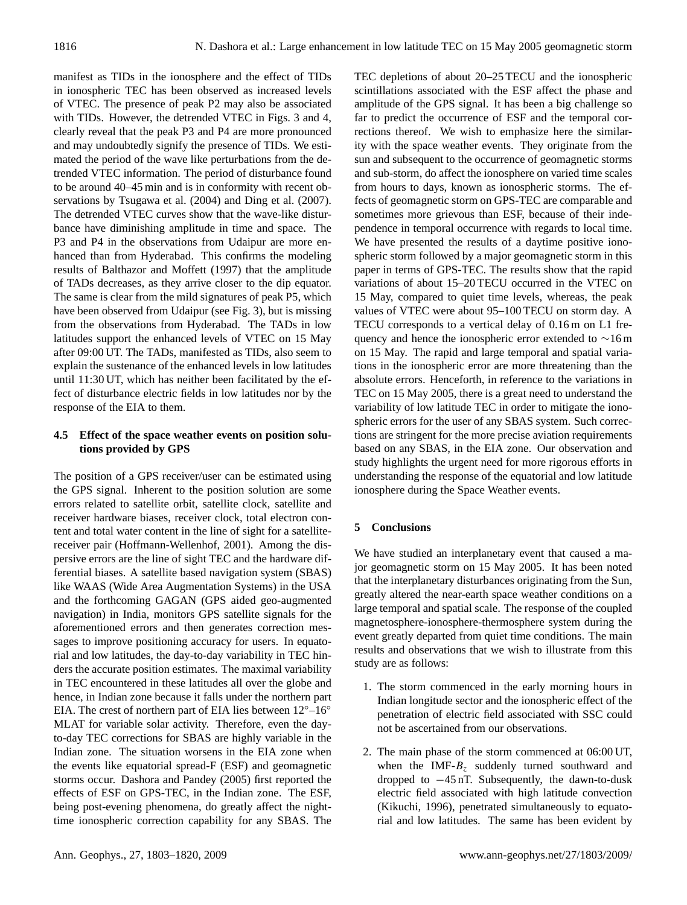manifest as TIDs in the ionosphere and the effect of TIDs in ionospheric TEC has been observed as increased levels of VTEC. The presence of peak P2 may also be associated with TIDs. However, the detrended VTEC in Figs. 3 and 4, clearly reveal that the peak P3 and P4 are more pronounced and may undoubtedly signify the presence of TIDs. We estimated the period of the wave like perturbations from the detrended VTEC information. The period of disturbance found to be around 40–45 min and is in conformity with recent observations by Tsugawa et al. (2004) and Ding et al. (2007). The detrended VTEC curves show that the wave-like disturbance have diminishing amplitude in time and space. The P3 and P4 in the observations from Udaipur are more enhanced than from Hyderabad. This confirms the modeling results of Balthazor and Moffett (1997) that the amplitude of TADs decreases, as they arrive closer to the dip equator. The same is clear from the mild signatures of peak P5, which have been observed from Udaipur (see Fig. 3), but is missing from the observations from Hyderabad. The TADs in low latitudes support the enhanced levels of VTEC on 15 May after 09:00 UT. The TADs, manifested as TIDs, also seem to explain the sustenance of the enhanced levels in low latitudes until 11:30 UT, which has neither been facilitated by the effect of disturbance electric fields in low latitudes nor by the response of the EIA to them.

# **4.5 Effect of the space weather events on position solutions provided by GPS**

The position of a GPS receiver/user can be estimated using the GPS signal. Inherent to the position solution are some errors related to satellite orbit, satellite clock, satellite and receiver hardware biases, receiver clock, total electron content and total water content in the line of sight for a satellitereceiver pair (Hoffmann-Wellenhof, 2001). Among the dispersive errors are the line of sight TEC and the hardware differential biases. A satellite based navigation system (SBAS) like WAAS (Wide Area Augmentation Systems) in the USA and the forthcoming GAGAN (GPS aided geo-augmented navigation) in India, monitors GPS satellite signals for the aforementioned errors and then generates correction messages to improve positioning accuracy for users. In equatorial and low latitudes, the day-to-day variability in TEC hinders the accurate position estimates. The maximal variability in TEC encountered in these latitudes all over the globe and hence, in Indian zone because it falls under the northern part EIA. The crest of northern part of EIA lies between  $12^{\circ}-16^{\circ}$ MLAT for variable solar activity. Therefore, even the dayto-day TEC corrections for SBAS are highly variable in the Indian zone. The situation worsens in the EIA zone when the events like equatorial spread-F (ESF) and geomagnetic storms occur. Dashora and Pandey (2005) first reported the effects of ESF on GPS-TEC, in the Indian zone. The ESF, being post-evening phenomena, do greatly affect the nighttime ionospheric correction capability for any SBAS. The TEC depletions of about 20–25 TECU and the ionospheric scintillations associated with the ESF affect the phase and amplitude of the GPS signal. It has been a big challenge so far to predict the occurrence of ESF and the temporal corrections thereof. We wish to emphasize here the similarity with the space weather events. They originate from the sun and subsequent to the occurrence of geomagnetic storms and sub-storm, do affect the ionosphere on varied time scales from hours to days, known as ionospheric storms. The effects of geomagnetic storm on GPS-TEC are comparable and sometimes more grievous than ESF, because of their independence in temporal occurrence with regards to local time. We have presented the results of a daytime positive ionospheric storm followed by a major geomagnetic storm in this paper in terms of GPS-TEC. The results show that the rapid variations of about 15–20 TECU occurred in the VTEC on 15 May, compared to quiet time levels, whereas, the peak values of VTEC were about 95–100 TECU on storm day. A TECU corresponds to a vertical delay of 0.16 m on L1 frequency and hence the ionospheric error extended to ∼16 m on 15 May. The rapid and large temporal and spatial variations in the ionospheric error are more threatening than the absolute errors. Henceforth, in reference to the variations in TEC on 15 May 2005, there is a great need to understand the variability of low latitude TEC in order to mitigate the ionospheric errors for the user of any SBAS system. Such corrections are stringent for the more precise aviation requirements based on any SBAS, in the EIA zone. Our observation and study highlights the urgent need for more rigorous efforts in understanding the response of the equatorial and low latitude ionosphere during the Space Weather events.

# **5 Conclusions**

We have studied an interplanetary event that caused a major geomagnetic storm on 15 May 2005. It has been noted that the interplanetary disturbances originating from the Sun, greatly altered the near-earth space weather conditions on a large temporal and spatial scale. The response of the coupled magnetosphere-ionosphere-thermosphere system during the event greatly departed from quiet time conditions. The main results and observations that we wish to illustrate from this study are as follows:

- 1. The storm commenced in the early morning hours in Indian longitude sector and the ionospheric effect of the penetration of electric field associated with SSC could not be ascertained from our observations.
- 2. The main phase of the storm commenced at 06:00 UT, when the IMF- $B<sub>z</sub>$  suddenly turned southward and dropped to −45 nT. Subsequently, the dawn-to-dusk electric field associated with high latitude convection (Kikuchi, 1996), penetrated simultaneously to equatorial and low latitudes. The same has been evident by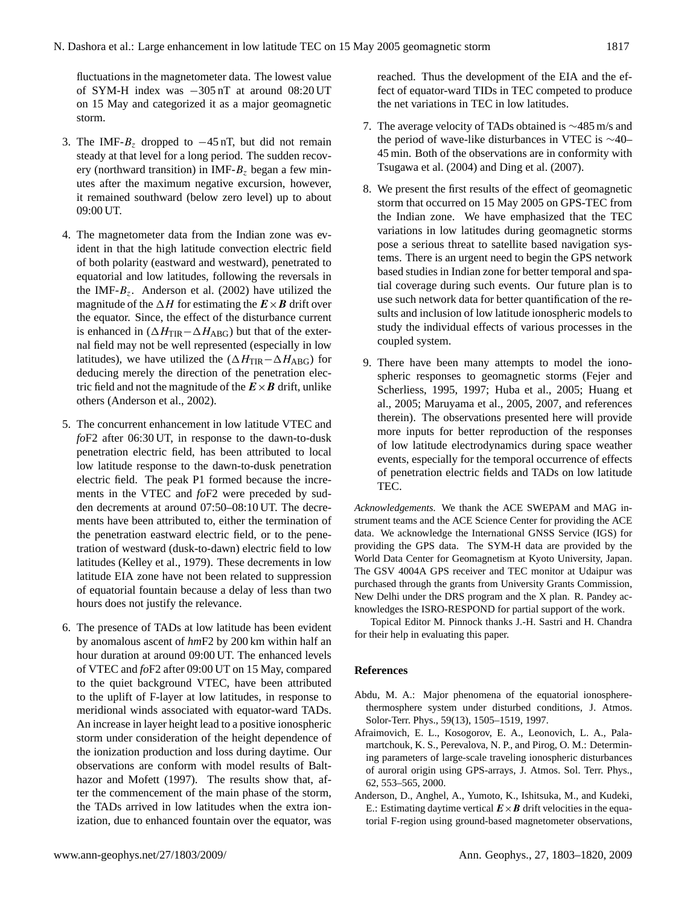fluctuations in the magnetometer data. The lowest value of SYM-H index was −305 nT at around 08:20 UT on 15 May and categorized it as a major geomagnetic storm.

- 3. The IMF- $B<sub>z</sub>$  dropped to −45 nT, but did not remain steady at that level for a long period. The sudden recovery (northward transition) in IMF- $B<sub>z</sub>$  began a few minutes after the maximum negative excursion, however, it remained southward (below zero level) up to about 09:00 UT.
- 4. The magnetometer data from the Indian zone was evident in that the high latitude convection electric field of both polarity (eastward and westward), penetrated to equatorial and low latitudes, following the reversals in the IMF- $B_z$ . Anderson et al. (2002) have utilized the magnitude of the  $\Delta H$  for estimating the  $E \times B$  drift over the equator. Since, the effect of the disturbance current is enhanced in  $(\Delta H_{\text{TIR}}-\Delta H_{\text{ABG}})$  but that of the external field may not be well represented (especially in low latitudes), we have utilized the  $(\Delta H_{\text{TIR}} - \Delta H_{\text{ABG}})$  for deducing merely the direction of the penetration electric field and not the magnitude of the  $E \times B$  drift, unlike others (Anderson et al., 2002).
- 5. The concurrent enhancement in low latitude VTEC and *fo*F2 after 06:30 UT, in response to the dawn-to-dusk penetration electric field, has been attributed to local low latitude response to the dawn-to-dusk penetration electric field. The peak P1 formed because the increments in the VTEC and *fo*F2 were preceded by sudden decrements at around 07:50–08:10 UT. The decrements have been attributed to, either the termination of the penetration eastward electric field, or to the penetration of westward (dusk-to-dawn) electric field to low latitudes (Kelley et al., 1979). These decrements in low latitude EIA zone have not been related to suppression of equatorial fountain because a delay of less than two hours does not justify the relevance.
- 6. The presence of TADs at low latitude has been evident by anomalous ascent of *hm*F2 by 200 km within half an hour duration at around 09:00 UT. The enhanced levels of VTEC and *fo*F2 after 09:00 UT on 15 May, compared to the quiet background VTEC, have been attributed to the uplift of F-layer at low latitudes, in response to meridional winds associated with equator-ward TADs. An increase in layer height lead to a positive ionospheric storm under consideration of the height dependence of the ionization production and loss during daytime. Our observations are conform with model results of Balthazor and Mofett (1997). The results show that, after the commencement of the main phase of the storm, the TADs arrived in low latitudes when the extra ionization, due to enhanced fountain over the equator, was

reached. Thus the development of the EIA and the effect of equator-ward TIDs in TEC competed to produce the net variations in TEC in low latitudes.

- 7. The average velocity of TADs obtained is ∼485 m/s and the period of wave-like disturbances in VTEC is ∼40– 45 min. Both of the observations are in conformity with Tsugawa et al. (2004) and Ding et al. (2007).
- 8. We present the first results of the effect of geomagnetic storm that occurred on 15 May 2005 on GPS-TEC from the Indian zone. We have emphasized that the TEC variations in low latitudes during geomagnetic storms pose a serious threat to satellite based navigation systems. There is an urgent need to begin the GPS network based studies in Indian zone for better temporal and spatial coverage during such events. Our future plan is to use such network data for better quantification of the results and inclusion of low latitude ionospheric models to study the individual effects of various processes in the coupled system.
- 9. There have been many attempts to model the ionospheric responses to geomagnetic storms (Fejer and Scherliess, 1995, 1997; Huba et al., 2005; Huang et al., 2005; Maruyama et al., 2005, 2007, and references therein). The observations presented here will provide more inputs for better reproduction of the responses of low latitude electrodynamics during space weather events, especially for the temporal occurrence of effects of penetration electric fields and TADs on low latitude TEC.

*Acknowledgements.* We thank the ACE SWEPAM and MAG instrument teams and the ACE Science Center for providing the ACE data. We acknowledge the International GNSS Service (IGS) for providing the GPS data. The SYM-H data are provided by the World Data Center for Geomagnetism at Kyoto University, Japan. The GSV 4004A GPS receiver and TEC monitor at Udaipur was purchased through the grants from University Grants Commission, New Delhi under the DRS program and the X plan. R. Pandey acknowledges the ISRO-RESPOND for partial support of the work.

Topical Editor M. Pinnock thanks J.-H. Sastri and H. Chandra for their help in evaluating this paper.

## **References**

- Abdu, M. A.: Major phenomena of the equatorial ionospherethermosphere system under disturbed conditions, J. Atmos. Solor-Terr. Phys., 59(13), 1505–1519, 1997.
- Afraimovich, E. L., Kosogorov, E. A., Leonovich, L. A., Palamartchouk, K. S., Perevalova, N. P., and Pirog, O. M.: Determining parameters of large-scale traveling ionospheric disturbances of auroral origin using GPS-arrays, J. Atmos. Sol. Terr. Phys., 62, 553–565, 2000.
- Anderson, D., Anghel, A., Yumoto, K., Ishitsuka, M., and Kudeki, E.: Estimating daytime vertical  $\mathbf{E} \times \mathbf{B}$  drift velocities in the equatorial F-region using ground-based magnetometer observations,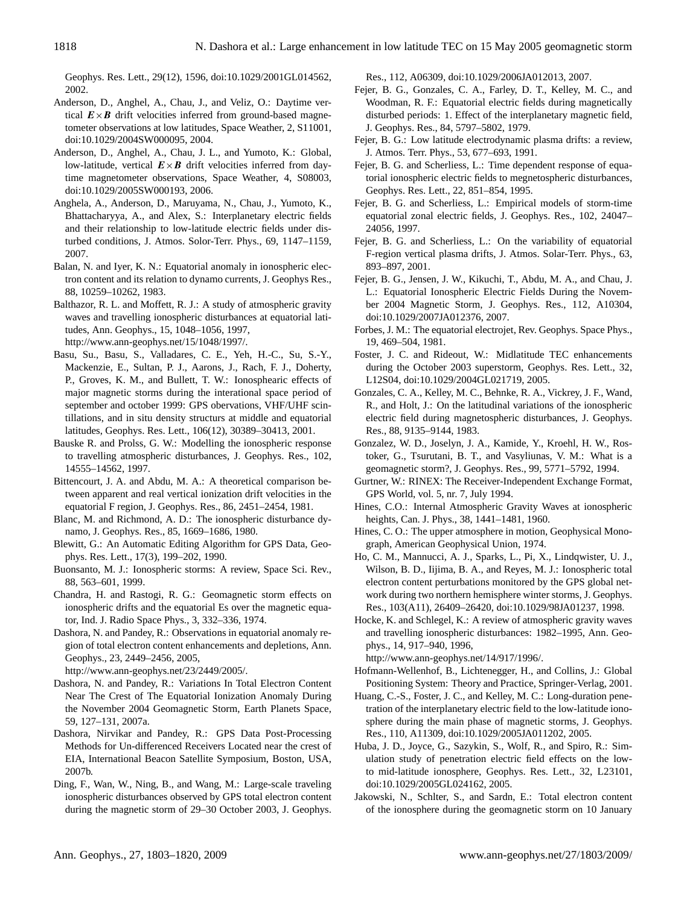Geophys. Res. Lett., 29(12), 1596, doi:10.1029/2001GL014562, 2002.

- Anderson, D., Anghel, A., Chau, J., and Veliz, O.: Daytime vertical  $E \times B$  drift velocities inferred from ground-based magnetometer observations at low latitudes, Space Weather, 2, S11001, doi:10.1029/2004SW000095, 2004.
- Anderson, D., Anghel, A., Chau, J. L., and Yumoto, K.: Global, low-latitude, vertical  $E \times B$  drift velocities inferred from daytime magnetometer observations, Space Weather, 4, S08003, doi:10.1029/2005SW000193, 2006.
- Anghela, A., Anderson, D., Maruyama, N., Chau, J., Yumoto, K., Bhattacharyya, A., and Alex, S.: Interplanetary electric fields and their relationship to low-latitude electric fields under disturbed conditions, J. Atmos. Solor-Terr. Phys., 69, 1147–1159, 2007.
- Balan, N. and Iyer, K. N.: Equatorial anomaly in ionospheric electron content and its relation to dynamo currents, J. Geophys Res., 88, 10259–10262, 1983.
- Balthazor, R. L. and Moffett, R. J.: A study of atmospheric gravity waves and travelling ionospheric disturbances at equatorial latitudes, Ann. Geophys., 15, 1048–1056, 1997, [http://www.ann-geophys.net/15/1048/1997/.](http://www.ann-geophys.net/15/1048/1997/)
- Basu, Su., Basu, S., Valladares, C. E., Yeh, H.-C., Su, S.-Y., Mackenzie, E., Sultan, P. J., Aarons, J., Rach, F. J., Doherty, P., Groves, K. M., and Bullett, T. W.: Ionosphearic effects of major magnetic storms during the interational space period of september and october 1999: GPS obervations, VHF/UHF scintillations, and in situ density structurs at middle and equatorial latitudes, Geophys. Res. Lett., 106(12), 30389–30413, 2001.
- Bauske R. and Prolss, G. W.: Modelling the ionospheric response to travelling atmospheric disturbances, J. Geophys. Res., 102, 14555–14562, 1997.
- Bittencourt, J. A. and Abdu, M. A.: A theoretical comparison between apparent and real vertical ionization drift velocities in the equatorial F region, J. Geophys. Res., 86, 2451–2454, 1981.
- Blanc, M. and Richmond, A. D.: The ionospheric disturbance dynamo, J. Geophys. Res., 85, 1669–1686, 1980.
- Blewitt, G.: An Automatic Editing Algorithm for GPS Data, Geophys. Res. Lett., 17(3), 199–202, 1990.
- Buonsanto, M. J.: Ionospheric storms: A review, Space Sci. Rev., 88, 563–601, 1999.
- Chandra, H. and Rastogi, R. G.: Geomagnetic storm effects on ionospheric drifts and the equatorial Es over the magnetic equator, Ind. J. Radio Space Phys., 3, 332–336, 1974.
- Dashora, N. and Pandey, R.: Observations in equatorial anomaly region of total electron content enhancements and depletions, Ann. Geophys., 23, 2449–2456, 2005,

[http://www.ann-geophys.net/23/2449/2005/.](http://www.ann-geophys.net/23/2449/2005/)

- Dashora, N. and Pandey, R.: Variations In Total Electron Content Near The Crest of The Equatorial Ionization Anomaly During the November 2004 Geomagnetic Storm, Earth Planets Space, 59, 127–131, 2007a.
- Dashora, Nirvikar and Pandey, R.: GPS Data Post-Processing Methods for Un-differenced Receivers Located near the crest of EIA, International Beacon Satellite Symposium, Boston, USA, 2007b.
- Ding, F., Wan, W., Ning, B., and Wang, M.: Large-scale traveling ionospheric disturbances observed by GPS total electron content during the magnetic storm of 29–30 October 2003, J. Geophys.

Res., 112, A06309, doi:10.1029/2006JA012013, 2007.

- Fejer, B. G., Gonzales, C. A., Farley, D. T., Kelley, M. C., and Woodman, R. F.: Equatorial electric fields during magnetically disturbed periods: 1. Effect of the interplanetary magnetic field, J. Geophys. Res., 84, 5797–5802, 1979.
- Fejer, B. G.: Low latitude electrodynamic plasma drifts: a review, J. Atmos. Terr. Phys., 53, 677–693, 1991.
- Fejer, B. G. and Scherliess, L.: Time dependent response of equatorial ionospheric electric fields to megnetospheric disturbances, Geophys. Res. Lett., 22, 851–854, 1995.
- Fejer, B. G. and Scherliess, L.: Empirical models of storm-time equatorial zonal electric fields, J. Geophys. Res., 102, 24047– 24056, 1997.
- Fejer, B. G. and Scherliess, L.: On the variability of equatorial F-region vertical plasma drifts, J. Atmos. Solar-Terr. Phys., 63, 893–897, 2001.
- Fejer, B. G., Jensen, J. W., Kikuchi, T., Abdu, M. A., and Chau, J. L.: Equatorial Ionospheric Electric Fields During the November 2004 Magnetic Storm, J. Geophys. Res., 112, A10304, doi:10.1029/2007JA012376, 2007.
- Forbes, J. M.: The equatorial electrojet, Rev. Geophys. Space Phys., 19, 469–504, 1981.
- Foster, J. C. and Rideout, W.: Midlatitude TEC enhancements during the October 2003 superstorm, Geophys. Res. Lett., 32, L12S04, doi:10.1029/2004GL021719, 2005.
- Gonzales, C. A., Kelley, M. C., Behnke, R. A., Vickrey, J. F., Wand, R., and Holt, J.: On the latitudinal variations of the ionospheric electric field during magnetospheric disturbances, J. Geophys. Res., 88, 9135–9144, 1983.
- Gonzalez, W. D., Joselyn, J. A., Kamide, Y., Kroehl, H. W., Rostoker, G., Tsurutani, B. T., and Vasyliunas, V. M.: What is a geomagnetic storm?, J. Geophys. Res., 99, 5771–5792, 1994.
- Gurtner, W.: RINEX: The Receiver-Independent Exchange Format, GPS World, vol. 5, nr. 7, July 1994.
- Hines, C.O.: Internal Atmospheric Gravity Waves at ionospheric heights, Can. J. Phys., 38, 1441–1481, 1960.
- Hines, C. O.: The upper atmosphere in motion, Geophysical Monograph, American Geophysical Union, 1974.
- Ho, C. M., Mannucci, A. J., Sparks, L., Pi, X., Lindqwister, U. J., Wilson, B. D., Iijima, B. A., and Reyes, M. J.: Ionospheric total electron content perturbations monitored by the GPS global network during two northern hemisphere winter storms, J. Geophys. Res., 103(A11), 26409–26420, doi:10.1029/98JA01237, 1998.
- Hocke, K. and Schlegel, K.: A review of atmospheric gravity waves and travelling ionospheric disturbances: 1982–1995, Ann. Geophys., 14, 917–940, 1996,

[http://www.ann-geophys.net/14/917/1996/.](http://www.ann-geophys.net/14/917/1996/)

- Hofmann-Wellenhof, B., Lichtenegger, H., and Collins, J.: Global Positioning System: Theory and Practice, Springer-Verlag, 2001.
- Huang, C.-S., Foster, J. C., and Kelley, M. C.: Long-duration penetration of the interplanetary electric field to the low-latitude ionosphere during the main phase of magnetic storms, J. Geophys. Res., 110, A11309, doi:10.1029/2005JA011202, 2005.
- Huba, J. D., Joyce, G., Sazykin, S., Wolf, R., and Spiro, R.: Simulation study of penetration electric field effects on the lowto mid-latitude ionosphere, Geophys. Res. Lett., 32, L23101, doi:10.1029/2005GL024162, 2005.
- Jakowski, N., Schlter, S., and Sardn, E.: Total electron content of the ionosphere during the geomagnetic storm on 10 January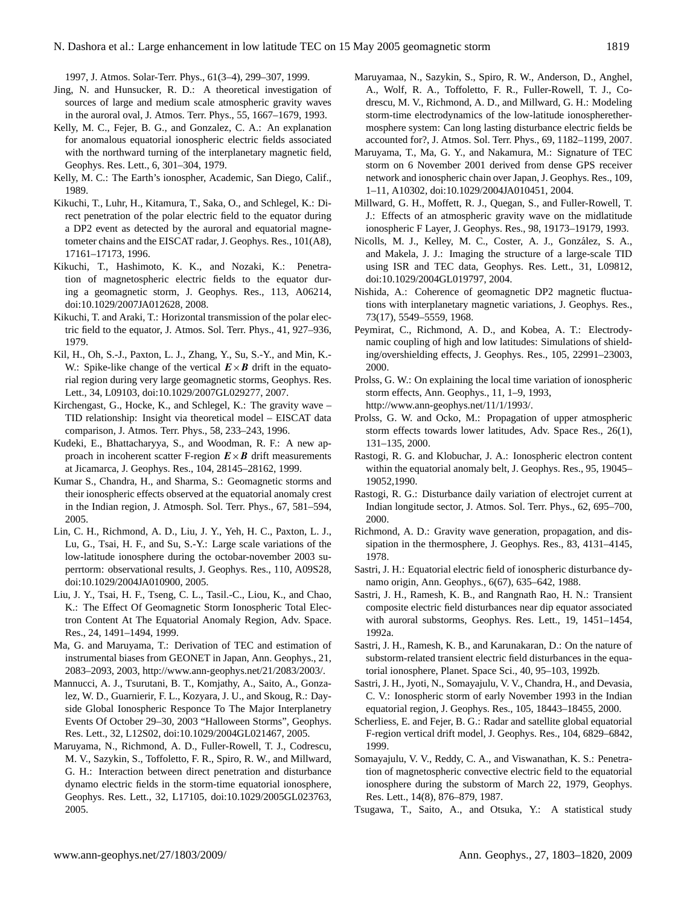1997, J. Atmos. Solar-Terr. Phys., 61(3–4), 299–307, 1999.

- Jing, N. and Hunsucker, R. D.: A theoretical investigation of sources of large and medium scale atmospheric gravity waves in the auroral oval, J. Atmos. Terr. Phys., 55, 1667–1679, 1993.
- Kelly, M. C., Fejer, B. G., and Gonzalez, C. A.: An explanation for anomalous equatorial ionospheric electric fields associated with the northward turning of the interplanetary magnetic field, Geophys. Res. Lett., 6, 301–304, 1979.
- Kelly, M. C.: The Earth's ionospher, Academic, San Diego, Calif., 1989.
- Kikuchi, T., Luhr, H., Kitamura, T., Saka, O., and Schlegel, K.: Direct penetration of the polar electric field to the equator during a DP2 event as detected by the auroral and equatorial magnetometer chains and the EISCAT radar, J. Geophys. Res., 101(A8), 17161–17173, 1996.
- Kikuchi, T., Hashimoto, K. K., and Nozaki, K.: Penetration of magnetospheric electric fields to the equator during a geomagnetic storm, J. Geophys. Res., 113, A06214, doi:10.1029/2007JA012628, 2008.
- Kikuchi, T. and Araki, T.: Horizontal transmission of the polar electric field to the equator, J. Atmos. Sol. Terr. Phys., 41, 927–936, 1979.
- Kil, H., Oh, S.-J., Paxton, L. J., Zhang, Y., Su, S.-Y., and Min, K.- W.: Spike-like change of the vertical  $E \times B$  drift in the equatorial region during very large geomagnetic storms, Geophys. Res. Lett., 34, L09103, doi:10.1029/2007GL029277, 2007.
- Kirchengast, G., Hocke, K., and Schlegel, K.: The gravity wave TID relationship: Insight via theoretical model – EISCAT data comparison, J. Atmos. Terr. Phys., 58, 233–243, 1996.
- Kudeki, E., Bhattacharyya, S., and Woodman, R. F.: A new approach in incoherent scatter F-region  $E \times B$  drift measurements at Jicamarca, J. Geophys. Res., 104, 28145–28162, 1999.
- Kumar S., Chandra, H., and Sharma, S.: Geomagnetic storms and their ionospheric effects observed at the equatorial anomaly crest in the Indian region, J. Atmosph. Sol. Terr. Phys., 67, 581–594, 2005.
- Lin, C. H., Richmond, A. D., Liu, J. Y., Yeh, H. C., Paxton, L. J., Lu, G., Tsai, H. F., and Su, S.-Y.: Large scale variations of the low-latitude ionosphere during the octobar-november 2003 superrtorm: observational results, J. Geophys. Res., 110, A09S28, doi:10.1029/2004JA010900, 2005.
- Liu, J. Y., Tsai, H. F., Tseng, C. L., Tasil.-C., Liou, K., and Chao, K.: The Effect Of Geomagnetic Storm Ionospheric Total Electron Content At The Equatorial Anomaly Region, Adv. Space. Res., 24, 1491–1494, 1999.
- Ma, G. and Maruyama, T.: Derivation of TEC and estimation of instrumental biases from GEONET in Japan, Ann. Geophys., 21, 2083–2093, 2003, [http://www.ann-geophys.net/21/2083/2003/.](http://www.ann-geophys.net/21/2083/2003/)
- Mannucci, A. J., Tsurutani, B. T., Komjathy, A., Saito, A., Gonzalez, W. D., Guarnierir, F. L., Kozyara, J. U., and Skoug, R.: Dayside Global Ionospheric Responce To The Major Interplanetry Events Of October 29–30, 2003 "Halloween Storms", Geophys. Res. Lett., 32, L12S02, doi:10.1029/2004GL021467, 2005.
- Maruyama, N., Richmond, A. D., Fuller-Rowell, T. J., Codrescu, M. V., Sazykin, S., Toffoletto, F. R., Spiro, R. W., and Millward, G. H.: Interaction between direct penetration and disturbance dynamo electric fields in the storm-time equatorial ionosphere, Geophys. Res. Lett., 32, L17105, doi:10.1029/2005GL023763, 2005.
- Maruyamaa, N., Sazykin, S., Spiro, R. W., Anderson, D., Anghel, A., Wolf, R. A., Toffoletto, F. R., Fuller-Rowell, T. J., Codrescu, M. V., Richmond, A. D., and Millward, G. H.: Modeling storm-time electrodynamics of the low-latitude ionospherethermosphere system: Can long lasting disturbance electric fields be accounted for?, J. Atmos. Sol. Terr. Phys., 69, 1182–1199, 2007.
- Maruyama, T., Ma, G. Y., and Nakamura, M.: Signature of TEC storm on 6 November 2001 derived from dense GPS receiver network and ionospheric chain over Japan, J. Geophys. Res., 109, 1–11, A10302, doi:10.1029/2004JA010451, 2004.
- Millward, G. H., Moffett, R. J., Quegan, S., and Fuller-Rowell, T. J.: Effects of an atmospheric gravity wave on the midlatitude ionospheric F Layer, J. Geophys. Res., 98, 19173–19179, 1993.
- Nicolls, M. J., Kelley, M. C., Coster, A. J., Gonzalez, S. A., ´ and Makela, J. J.: Imaging the structure of a large-scale TID using ISR and TEC data, Geophys. Res. Lett., 31, L09812, doi:10.1029/2004GL019797, 2004.
- Nishida, A.: Coherence of geomagnetic DP2 magnetic fluctuations with interplanetary magnetic variations, J. Geophys. Res., 73(17), 5549–5559, 1968.
- Peymirat, C., Richmond, A. D., and Kobea, A. T.: Electrodynamic coupling of high and low latitudes: Simulations of shielding/overshielding effects, J. Geophys. Res., 105, 22991–23003, 2000.
- Prolss, G. W.: On explaining the local time variation of ionospheric storm effects, Ann. Geophys., 11, 1–9, 1993, [http://www.ann-geophys.net/11/1/1993/.](http://www.ann-geophys.net/11/1/1993/)
- Prolss, G. W. and Ocko, M.: Propagation of upper atmospheric storm effects towards lower latitudes, Adv. Space Res., 26(1), 131–135, 2000.
- Rastogi, R. G. and Klobuchar, J. A.: Ionospheric electron content within the equatorial anomaly belt, J. Geophys. Res., 95, 19045– 19052,1990.
- Rastogi, R. G.: Disturbance daily variation of electrojet current at Indian longitude sector, J. Atmos. Sol. Terr. Phys., 62, 695–700, 2000.
- Richmond, A. D.: Gravity wave generation, propagation, and dissipation in the thermosphere, J. Geophys. Res., 83, 4131–4145, 1978.
- Sastri, J. H.: Equatorial electric field of ionospheric disturbance dynamo origin, Ann. Geophys., 6(67), 635–642, 1988.
- Sastri, J. H., Ramesh, K. B., and Rangnath Rao, H. N.: Transient composite electric field disturbances near dip equator associated with auroral substorms, Geophys. Res. Lett., 19, 1451–1454, 1992a.
- Sastri, J. H., Ramesh, K. B., and Karunakaran, D.: On the nature of substorm-related transient electric field disturbances in the equatorial ionosphere, Planet. Space Sci., 40, 95–103, 1992b.
- Sastri, J. H., Jyoti, N., Somayajulu, V. V., Chandra, H., and Devasia, C. V.: Ionospheric storm of early November 1993 in the Indian equatorial region, J. Geophys. Res., 105, 18443–18455, 2000.
- Scherliess, E. and Fejer, B. G.: Radar and satellite global equatorial F-region vertical drift model, J. Geophys. Res., 104, 6829–6842, 1999.
- Somayajulu, V. V., Reddy, C. A., and Viswanathan, K. S.: Penetration of magnetospheric convective electric field to the equatorial ionosphere during the substorm of March 22, 1979, Geophys. Res. Lett., 14(8), 876–879, 1987.
- Tsugawa, T., Saito, A., and Otsuka, Y.: A statistical study